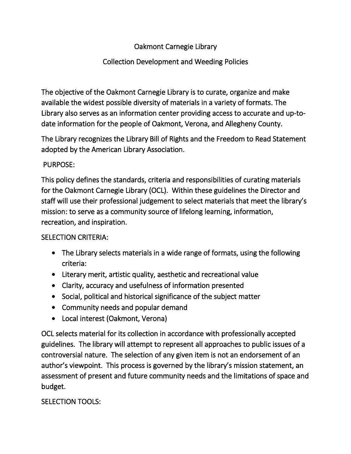## Oakmont Carnegie Library

## Collection Development and Weeding Policies

The objective of the Oakmont Carnegie Library is to curate, organize and make available the widest possible diversity of materials in a variety of formats. The Library also serves as an information center providing access to accurate and up-todate information for the people of Oakmont, Verona, and Allegheny County.

The Library recognizes the Library Bill of Rights and the Freedom to Read Statement adopted by the American Library Association.

### PURPOSE:

This policy defines the standards, criteria and responsibilities of curating materials for the Oakmont Carnegie Library (OCL). Within these guidelines the Director and staff will use their professional judgement to select materials that meet the library's mission: to serve as a community source of lifelong learning, information, recreation, and inspiration.

#### SELECTION CRITERIA:

- The Library selects materials in a wide range of formats, using the following criteria:
- Literary merit, artistic quality, aesthetic and recreational value
- Clarity, accuracy and usefulness of information presented
- Social, political and historical significance of the subject matter
- Community needs and popular demand
- Local interest (Oakmont, Verona)

OCL selects material for its collection in accordance with professionally accepted guidelines. The library will attempt to represent all approaches to public issues of a controversial nature. The selection of any given item is not an endorsement of an author's viewpoint. This process is governed by the library's mission statement, an assessment of present and future community needs and the limitations of space and budget.

### SELECTION TOOLS: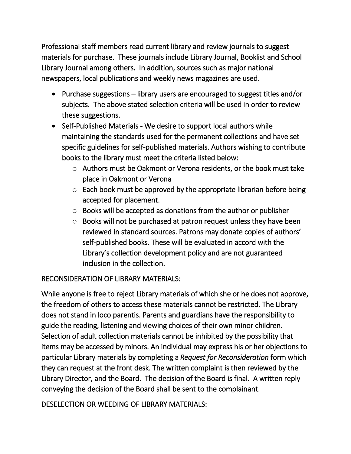Professional staff members read current library and review journals to suggest materials for purchase. These journals include Library Journal, Booklist and School Library Journal among others. In addition, sources such as major national newspapers, local publications and weekly news magazines are used.

- Purchase suggestions library users are encouraged to suggest titles and/or subjects. The above stated selection criteria will be used in order to review these suggestions.
- Self-Published Materials We desire to support local authors while maintaining the standards used for the permanent collections and have set specific guidelines for self-published materials. Authors wishing to contribute books to the library must meet the criteria listed below:
	- o Authors must be Oakmont or Verona residents, or the book must take place in Oakmont or Verona
	- $\circ$  Each book must be approved by the appropriate librarian before being accepted for placement.
	- o Books will be accepted as donations from the author or publisher
	- o Books will not be purchased at patron request unless they have been reviewed in standard sources. Patrons may donate copies of authors' self-published books. These will be evaluated in accord with the Library's collection development policy and are not guaranteed inclusion in the collection.

# RECONSIDERATION OF LIBRARY MATERIALS:

While anyone is free to reject Library materials of which she or he does not approve, the freedom of others to access these materials cannot be restricted. The Library does not stand in loco parentis. Parents and guardians have the responsibility to guide the reading, listening and viewing choices of their own minor children. Selection of adult collection materials cannot be inhibited by the possibility that items may be accessed by minors. An individual may express his or her objections to particular Library materials by completing a *Request for Reconsideration* form which they can request at the front desk. The written complaint is then reviewed by the Library Director, and the Board. The decision of the Board is final. A written reply conveying the decision of the Board shall be sent to the complainant.

DESELECTION OR WEEDING OF LIBRARY MATERIALS: